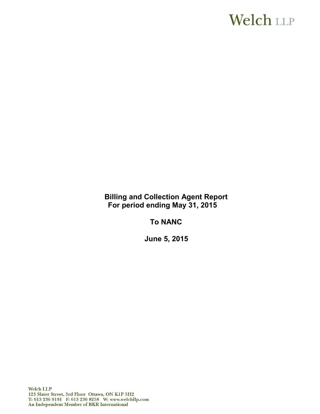# **Welch LLP**

**Billing and Collection Agent Report For period ending May 31, 2015**

**To NANC**

**June 5, 2015**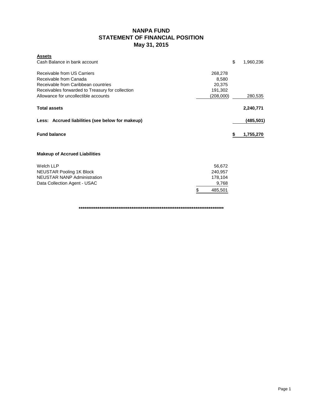# **NANPA FUND STATEMENT OF FINANCIAL POSITION May 31, 2015**

| <b>Assets</b><br>Cash Balance in bank account    |           | \$<br>1,960,236 |
|--------------------------------------------------|-----------|-----------------|
| Receivable from US Carriers                      | 268,278   |                 |
| Receivable from Canada                           | 8,580     |                 |
| Receivable from Caribbean countries              | 20,375    |                 |
| Receivables forwarded to Treasury for collection | 191,302   |                 |
| Allowance for uncollectible accounts             | (208,000) | 280,535         |
| <b>Total assets</b>                              |           | 2,240,771       |
| Less: Accrued liabilities (see below for makeup) |           | (485,501)       |
| <b>Fund balance</b>                              |           | \$<br>1,755,270 |
| <b>Makeup of Accrued Liabilities</b>             |           |                 |
| Welch LLP                                        | 56,672    |                 |
| <b>NEUSTAR Pooling 1K Block</b>                  | 240,957   |                 |
| <b>NEUSTAR NANP Administration</b>               | 178,104   |                 |
| Data Collection Agent - USAC                     | 9,768     |                 |

**\*\*\*\*\*\*\*\*\*\*\*\*\*\*\*\*\*\*\*\*\*\*\*\*\*\*\*\*\*\*\*\*\*\*\*\*\*\*\*\*\*\*\*\*\*\*\*\*\*\*\*\*\*\*\*\*\*\*\*\*\*\*\*\*\*\*\*\*\*\*\*\*\*\*\*\*\***

\$ 485,501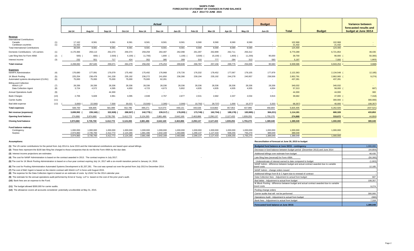#### **NANPA FUND FORECASTED STATEMENT OF CHANGES IN FUND BALANCE JULY 2014 TO JUNE 2015**

|                                                                     |            |                                     |                                     |                                     |                                     |                                     | Actual                              |                                     |                                     |                                     |                                     |                                   | <b>Budget</b>                       |                                   |                        | Variance between                               |  |
|---------------------------------------------------------------------|------------|-------------------------------------|-------------------------------------|-------------------------------------|-------------------------------------|-------------------------------------|-------------------------------------|-------------------------------------|-------------------------------------|-------------------------------------|-------------------------------------|-----------------------------------|-------------------------------------|-----------------------------------|------------------------|------------------------------------------------|--|
|                                                                     |            | <b>Jul-14</b>                       | Aug-14                              | Sep-14                              | Oct-14                              | <b>Nov-14</b>                       | Dec-14                              | <b>Jan-15</b>                       | Feb-15                              | <b>Mar-15</b>                       | Apr-15                              | May-15                            | Jun-15                              | <b>Total</b>                      | <b>Budget</b>          | forecasted results and<br>budget at June 30/14 |  |
| Revenue                                                             |            |                                     |                                     |                                     |                                     |                                     |                                     |                                     |                                     |                                     |                                     |                                   |                                     |                                   |                        |                                                |  |
| <b>International Contributions</b><br>Canada<br>Caribbean countries | (1)<br>(1) | 17,162<br>21.432                    | 8,581<br>$\sim$ $-$                 | 8,581<br>$\sim$                     | 8,581<br>$\sim$                     | 8,581<br>$\sim$<br>$\sim$           | 8,581                               | 8,581<br>$\overline{\phantom{a}}$   | 8,580<br>$\sim$                     | 8,580<br>$\sim$                     | 8,580<br>$\sim$                     | 8,580<br>$\sim$                   | $\sim$                              | 102,968<br>21,432                 | 102,968<br>21.432      | $\sim$                                         |  |
| <b>Total International Contributions</b>                            |            | 38.594                              | 8.581                               | 8.581                               | 8,581                               | 8,581                               | 8.581                               | 8.581                               | 8.580                               | 8,580                               | 8.580                               | 8.580                             | $\overline{\phantom{a}}$            | 124,400                           | 124,400                |                                                |  |
| Domestic Contributions - US carriers                                | (1)        | 4.170.366                           | 259.113                             | 252,273                             | 259,374                             | 259.259                             | 264.487                             | 262.098                             | 261,397                             | 262.899                             | 262.711                             | 256,312                           |                                     | 6,770,289                         | 6,721,854              | 48,435                                         |  |
| Late filing fees for Form 499A                                      | (2)        | 500)                                | 600)                                | 2,500                               | 4,100                               | 11,700)                             | 1,800                               | $1,100$ ) (                         | 3,500                               | 15,100                              | 1,800                               | 11,200)                           | 90,000                              | 39,700                            | 90,000                 | 50,300                                         |  |
| Interest income                                                     | (3)        | 232                                 | 551                                 | 717                                 | 424                                 | 352                                 | 385                                 | 269                                 | 310                                 | 777                                 | 284                                 | 313                               | 583                                 | 5.197                             | 7.000                  | 1,803                                          |  |
| <b>Total revenue</b>                                                |            | 4.208.692                           | 267,645                             | 259,071                             | 264,279                             | 256,492                             | 275,253                             | 269,848                             | 266,787                             | 257,156                             | 269,775                             | 254,005                           | 90,583                              | 6,939,586                         | 6,943,254              | 3,668)                                         |  |
| <b>Expenses</b><br><b>NANPA Administration</b>                      | (4)        | 176,680                             | 177,091                             | 176,079                             | 175,492                             | 175,492                             | 176,968                             | 176,726                             | 176,332                             | 178,452                             | 177,067                             | 178,105                           | 177,879                             | 2,122,363                         | 2,134,548 (            | 12,185                                         |  |
| 1K Block Pooling<br>Automated systems development (CLIN1)           | (5)<br>(6) | 225,254<br>75,000                   | 238,478<br>75,000                   | 241,228<br>75,000                   | 235,192<br>75,000                   | 236,272<br>75,000                   | 241,850<br>62,281                   | 236,390<br>$\overline{\phantom{a}}$ | 239,194<br>$\sim$                   | 235,192<br>$\sim$                   | 244,278<br>$\overline{\phantom{a}}$ | 240,957                           | 238,506<br>$\overline{\phantom{a}}$ | 2,852,791<br>437,281              | 2,862,065<br>437,281   | 9,274)                                         |  |
| <b>Billing and Collection</b><br>Welch LLP<br>Data Collection Agent | (7)<br>(8) | 28,336<br>3,724                     | 28,336<br>4,572                     | 28,336<br>4,595                     | 28,336<br>4,650                     | 28,336<br>4,723                     | 28,336<br>4,673                     | 28,336<br>5,802                     | 28,336<br>4,935                     | 28,336<br>4,935                     | 28,336<br>4,935                     | 28,336<br>4,935                   | 28,336<br>4,834                     | 340,032<br>57,313                 | 340,032<br>58,000      | $\blacksquare$<br>687)                         |  |
| <b>Annual Operations Audit</b>                                      | (9)        | $\sim$                              | $\sim$                              | 44.300                              | $\sim$                              | $\sim$                              | $\sim$                              | $\sim$                              | $\sim$                              | $\sim$                              | $\sim$                              |                                   | $\sim$                              | 44,300                            | 44,000                 | 300                                            |  |
| <b>Bank Charges</b>                                                 | (10)       | 2,706                               | 5,828                               | 4.961                               | 4,095                               | 2,948                               | 2.767                               | 2.877                               | 2,531                               | 2,682                               | 2,337                               | 2,034                             | 3,916                               | 39,682                            | 47,000                 | 7,318)                                         |  |
| <b>Carrier Audits</b>                                               | (11)       | $\sim$                              | $\sim$                              | $\overline{\phantom{a}}$            | $\sim$                              | $\sim$                              | $\sim$                              |                                     | $\sim$                              | $\sim$                              | $\sim$                              |                                   | $\overline{\phantom{a}}$            | $\blacksquare$                    | 300,000                | 300,000)                                       |  |
| Bad debt expense                                                    | (12)       | 3,000                               | 22,500)                             | 7,500                               | 30,021                              | 23,500)                             | 2,305                               | 2,000                               | 10,792)                             | 29,737)                             | 1,000                               | 16,377)                           | 3,333                               | 68,357)                           | 40,000                 | 108,357                                        |  |
| <b>Total expenses</b>                                               |            | 508,700                             | 506.805                             | 581.999                             | 552,786                             | 499.271                             | 514,570                             | 448.131                             | 440.536                             | 419,860                             | 457.953                             | 437.990                           | 456,804                             | 5.825.405                         | 6.262.926              | (437, 521)                                     |  |
| Net revenue (expenses)                                              |            | 3,699,992                           | 239,160)                            | 322,928)                            | 288,507)                            | 242,779)                            | 239,317)                            | 178,283)                            | 173,749)                            | 162,704)                            | 188,178)                            | 183,985)                          | 366,221)                            | 1,114,181                         | 680,328                | 433,853                                        |  |
| Opening fund balance                                                |            | 274.868                             | 3.974.860                           | 3,735,700                           | 3,412,772                           | 3.124.265                           | 2.881.486                           | 2,642,169                           | 2.463.886                           | 2.290.137                           | 2.127.433                           | 1.939.255                         | 1.755.270                           | 274,868                           | 319,672                | 44,804                                         |  |
| <b>Closing fund balance</b>                                         |            | 3.974.860                           | 3.735.700                           | 3.412.772                           | 3.124.265                           | 2,881,486                           | 2.642.169                           | 2.463.886                           | 2.290.137                           | 2.127.433                           | 1.939.255                           | 1,755,270                         | 1.389.049                           | 1.389.049                         | 1.000.000              | 389,049                                        |  |
| Fund balance makeup:<br>Contingency<br>Surplus                      |            | 1,000,000<br>2,974,860<br>3.974.860 | 1,000,000<br>2,735,700<br>3,735,700 | 1,000,000<br>2,412,772<br>3,412,772 | 1,000,000<br>2,124,265<br>3,124,265 | 1,000,000<br>1,881,486<br>2,881,486 | 1,000,000<br>1,642,169<br>2,642,169 | 1,000,000<br>1,463,886<br>2,463,886 | 1,000,000<br>1,290,137<br>2,290,137 | 1,000,000<br>1,127,433<br>2,127,433 | 1,000,000<br>939,255<br>1,939,255   | 1,000,000<br>755,270<br>1,755,270 | 1,000,000<br>389,049<br>1,389,049   | 1,000,000<br>389,049<br>1.389.049 | 1,000,000<br>1.000.000 |                                                |  |

**(1)** The US carrier contributions for the period from July 2014 to June 2015 and the International contributions are based upon actual billings.

(2) These fees represent the \$100 late filing fee charged to those companies that do not file the Form 499A by the due date.

**(3)** Interest income projections are estimates

**(4)** The cost for NANP Administration is based on the contract awarded in 2013. The contract expires in July 2017.

(5) The cost for 1K Block Pooling Administration is based on a four-year contract expiring July 14, 2017 with a six-month transition period to January 14, 2018.

**(6)** The cost for Pooling Administration Automated Systems Development is \$1,337,281. The cost was spread out over the period from July 2013 to December 2014.

**(7)** The cost of B&C Agent is based on the interim contract with Welch LLP in force until August 2015.

**(8)** The expense for the Data Collection Agent is based on an estimate of costs by USAC for the 2014 calendar year.

(9) The estimate for the annual operations audit performed by Ernst & Young LLP is based on the cost of the prior year's audit.

**(10)** Bank fees are an expense to the Fund.

**(11)** The budget allowed \$300,000 for carrier audits.

(12) The allowance covers all accounts considered potentially uncollectible at May 31, 2015.

#### **Assumptions: Reconciliation of forecast at June 30, 2015 to budget**

| Budgeted fund balance at June 30/15 - contingency                                                        | 1,000,000 |
|----------------------------------------------------------------------------------------------------------|-----------|
| Decrease in fund balance between budget period (December 2013) and June 2014                             | (44, 804) |
| Additional billings over estimate from budget                                                            | 48,435    |
| Late filing fees (reversal) for Form 499A                                                                | (50, 300) |
| Underestimate of interest earned to date compared to budget                                              | (1,803)   |
| NANP Admin - difference between budget and actual contract awarded due to variable<br>travel costs       | 12,185    |
| NANP Admin - change orders issued                                                                        |           |
| Additional billings from B & C Agent due to renewal of contract                                          |           |
| Data Collection fees - Adjustment to actual from budget                                                  | 687       |
| Bad debts - Adiustment to actual from budget                                                             | 108,357   |
| IK Block Pooling - difference between budget and actual contract awarded due to variable<br>travel costs | 9,274     |
| Pooling change orders                                                                                    |           |
| Carrier audits that will not be performed                                                                | 300,000   |
| Operations Audit - Adjustment to actual from budget                                                      | (300)     |
| Bank fees - Adjustment to actual from budget                                                             | 7,318     |
| Forecasted fund balance at June 30/15                                                                    | 1,389,049 |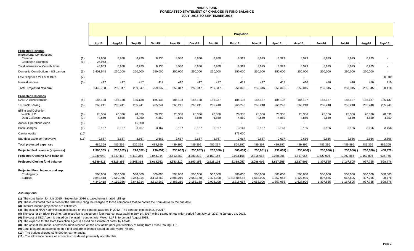#### **NANPA FUND FORECASTED STATEMENT OF CHANGES IN FUND BALANCE JULY 2015 TO SEPTEMBER 2016**

|                                                                            |            | <b>Projection</b>                 |                                   |                                   |                                   |                                   |                                   |                                   |                                      |                                   |                                   |                                   |                                 |                                 |                               |                              |
|----------------------------------------------------------------------------|------------|-----------------------------------|-----------------------------------|-----------------------------------|-----------------------------------|-----------------------------------|-----------------------------------|-----------------------------------|--------------------------------------|-----------------------------------|-----------------------------------|-----------------------------------|---------------------------------|---------------------------------|-------------------------------|------------------------------|
|                                                                            |            | <b>Jul-15</b>                     | Aug-15                            | Sep-15                            | Oct-15                            | <b>Nov-15</b>                     | <b>Dec-15</b>                     | <b>Jan-16</b>                     | Feb-16                               | Mar-16                            | Apr-16                            | May-16                            | <b>Jun-16</b>                   | <b>Jul-16</b>                   | Aug-16                        | Sep-16                       |
| <b>Projected Revenue</b><br><b>International Contributions</b><br>Canada   | (1)        | 17,860                            | 8,930                             | 8,930                             | 8,930                             | 8,930                             | 8,930                             | 8,930                             | 8,929                                | 8,929                             | 8,929                             | 8,929                             | 8,929                           | 8,929                           | 8,929                         |                              |
| Caribbean countries<br><b>Total International Contributions</b>            | (1)        | 27,943<br>45,803                  | $\sim$<br>8,930                   | $\sim$<br>8,930                   | $\sim$<br>8,930                   | $\overline{a}$<br>8,930           | 8,930                             | 8,930                             | 8,929                                | 8,929                             | $\overline{\phantom{a}}$<br>8,929 | $\sim$<br>8,929                   | 8,929                           | 8,929                           | 8,929                         | $\sim$                       |
| Domestic Contributions - US carriers                                       | (1)        | 3,403,548                         | 250,000                           | 250,000                           | 250,000                           | 250,000                           | 250,000                           | 250,000                           | 250,000                              | 250,000                           | 250,000                           | 250,000                           | 250,000                         | 250,000                         | 250,000                       | $\overline{\phantom{a}}$     |
| Late filing fees for Form 499A                                             | (2)        |                                   |                                   |                                   | $\blacksquare$                    |                                   |                                   |                                   | $\overline{\phantom{a}}$             | $\blacksquare$                    |                                   | $\blacksquare$                    |                                 |                                 |                               | 80,000                       |
| Interest income                                                            | (3)        | 417                               | 417                               | 417                               | 417                               | 417                               | 417                               | 417                               | 417                                  | 417                               | 417                               | 416                               | 416                             | 416                             | 416                           | 416                          |
| Total projected revenue                                                    |            | 3,449,768                         | 259,347                           | 259,347                           | 259,347                           | 259,347                           | 259,347                           | 259,347                           | 259,346                              | 259,346                           | 259,346                           | 259,345                           | 259,345                         | 259,345                         | 259,345                       | 80,416                       |
| <b>Projected Expenses</b><br><b>NANPA Administration</b>                   | (4)        | 185,138                           | 185,138                           | 185,138                           | 185,138                           | 185,138                           | 185,138                           | 185,137                           | 185,137                              | 185,137                           | 185,137                           | 185,137                           | 185,137                         | 185,137                         | 185,137                       | 185,137                      |
| 1K Block Pooling                                                           | (5)        | 265,241                           | 265,241                           | 265,241                           | 265,241                           | 265,241                           | 265,241                           | 265,240                           | 265,240                              | 265,240                           | 265,240                           | 265,240                           | 265,240                         | 265,240                         | 265,240                       | 265,240                      |
| <b>Billing and Collection</b><br>Welch LLP<br><b>Data Collection Agent</b> | (6)<br>(7) | 28,336<br>4,850                   | 28,336<br>4,850                   | 28,336<br>4,850                   | 28,336<br>4,850                   | 28,336<br>4,850                   | 28,336<br>4,850                   | 28,336<br>4,850                   | 28,336<br>4,850                      | 28,336<br>4,850                   | 28,336<br>4,850                   | 28,336<br>4,850                   | 28,336<br>4,850                 | 28,336<br>4,850                 | 28,336<br>4,850               | 28,336<br>4,850              |
| <b>Annual Operations Audit</b>                                             | (8)        | $\sim$                            | $\sim$                            | 46,000                            | $\sim$                            | $\sim$                            | $\overline{\phantom{a}}$          | $\sim$                            | $\overline{\phantom{a}}$             | $\overline{\phantom{a}}$          | $\overline{\phantom{a}}$          | $\sim$                            |                                 |                                 |                               |                              |
| <b>Bank Charges</b>                                                        | (9)        | 3,167                             | 3,167                             | 3,167                             | 3,167                             | 3,167                             | 3,167                             | 3,167                             | 3,167                                | 3,167                             | 3,167                             | 3,166                             | 3,166                           | 3,166                           | 3,166                         | 3,166                        |
| <b>Carrier Audits</b>                                                      | (10)       |                                   | $\overline{\phantom{a}}$          | $\sim$                            | $\overline{\phantom{a}}$          | $\overline{\phantom{a}}$          | $\overline{\phantom{a}}$          |                                   | 375,000                              | $\sim$                            | $\overline{\phantom{a}}$          | $\sim$                            | $\sim$                          |                                 | $\sim$                        | $\overline{\phantom{a}}$     |
| Bad debt expense (recovery)                                                | (11)       | 2,667                             | 2,667                             | 2,667                             | 2,667                             | 2,667                             | 2,667                             | 2,667                             | 2,667                                | 2,667                             | 2,667                             | 2,666                             | 2,666                           | 2,666                           | 2,666                         | 2,666                        |
| <b>Total projected expenses</b>                                            |            | 489,399                           | 489,399                           | 535,399                           | 489,399                           | 489,399                           | 489,399                           | 489,397                           | 864,397                              | 489,397                           | 489,397                           | 489,395                           | 489,395                         | 489,395                         | 489,395                       | 489,395                      |
| <b>Projected Net revenue (expenses)</b>                                    |            | 2,960,369                         | 230,052)                          | 276,052)                          | 230,052)                          | 230,052)                          | 230,052)                          | 230,050)                          | 605,051)                             | 230,051)                          | 230,051)                          | 230,050)                          | 230,050)                        | 230,050)                        | 230,050)                      | 408,979)                     |
| <b>Projected Opening fund balance</b>                                      |            | 1,389,049                         | 4,349,418                         | 4,119,366                         | 3,843,314                         | 3,613,262                         | 3,383,210                         | 3,153,158                         | 2,923,108                            | 2,318,057                         | 2,088,006                         | 1,857,955                         | 1,627,905                       | 1,397,855                       | 1,167,805                     | 937,755                      |
| <b>Projected Closing fund balance</b>                                      |            | 4,349,418                         | 4,119,366                         | 3,843,314                         | 3,613,262                         | 3,383,210                         | 3,153,158                         | 2,923,108                         | 2,318,057                            | 2,088,006                         | 1,857,955                         | 1,627,905                         | 1,397,855                       | 1,167,805                       | 937,755                       | 528,776                      |
| Projected Fund balance makeup:<br>Contingency<br>Surplus                   |            | 500.000<br>3,849,418<br>4,349,418 | 500.000<br>3,619,366<br>4,119,366 | 500.000<br>3,343,314<br>3,843,314 | 500,000<br>3,113,262<br>3,613,262 | 500,000<br>2,883,210<br>3,383,210 | 500,000<br>2,653,158<br>3,153,158 | 500,000<br>2,423,108<br>2,923,108 | 500,000<br>1,818,056.53<br>2,318,057 | 500,000<br>1,588,006<br>2,088,006 | 500,000<br>1,357,955<br>1,857,955 | 500,000<br>1,127,905<br>1,627,905 | 500,000<br>897,855<br>1,397,855 | 500,000<br>667,805<br>1,167,805 | 500,000<br>437,755<br>937,755 | 500,000<br>28,776<br>528,776 |

#### **Assumptions:**

**(1)** The contribution for July 2015 - September 2016 is based on estimated billings

**(2)** These estimated fees represent the \$100 late filing fee charged to those companies that do not file the Form 499A by the due date.

**(3)** Interest income projections are estimates

**(4)** The cost of NANP administration is based on the contract awarded in 2012. The contract expires in July 2017.

**(5)** The cost for 1K Block Pooling Administration is based on a four-year contract expiring July 14, 2017 with a six month transition period from July 15, 2017 to January 14, 2018.

**(6)** The cost of B&C Agent is based on the interim contract with Welch LLP in force until August 2015.

**(7)** The expense for the Data Collection Agent is based on estimate of costs by USAC.

**(8)** The cost of the annual operations audit is based on the cost of the prior year's history of billing from Ernst & Young LLP.

**(9)** Bank fees are an expense to the Fund and are estimated based on prior years' history.

**(10)** The budget allowed \$375,000 for carrier audits.

**(11)** The allowance covers all accounts considered potentially uncollectible.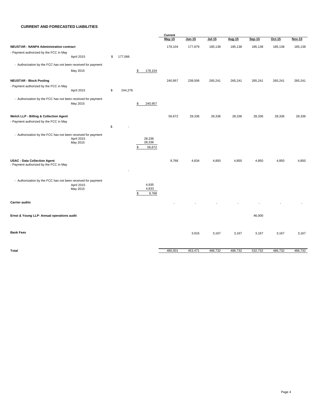#### **CURRENT AND FORECASTED LIABILITIES**

|                                                                                  |                        |               |                                  | Current |               |         |         |         |         |               |
|----------------------------------------------------------------------------------|------------------------|---------------|----------------------------------|---------|---------------|---------|---------|---------|---------|---------------|
|                                                                                  |                        |               |                                  | May-15  | <u>Jun-15</u> | Jul-15  | Aug-15  | Sep-15  | Oct-15  | <b>Nov-15</b> |
| <b>NEUSTAR - NANPA Administration contract</b>                                   |                        |               |                                  | 178,104 | 177,879       | 185,138 | 185,138 | 185,138 | 185,138 | 185,138       |
| - Payment authorized by the FCC in May                                           | April 2015             | \$<br>177,066 |                                  |         |               |         |         |         |         |               |
| - Authorization by the FCC has not been received for payment                     |                        |               |                                  |         |               |         |         |         |         |               |
|                                                                                  | May 2015               |               | 178,104<br>\$                    |         |               |         |         |         |         |               |
| <b>NEUSTAR - Block Pooling</b>                                                   |                        |               |                                  | 240,957 | 238,506       | 265,241 | 265,241 | 265,241 | 265,241 | 265,241       |
| - Payment authorized by the FCC in May                                           | April 2015             | \$<br>244,278 |                                  |         |               |         |         |         |         |               |
| - Authorization by the FCC has not been received for payment                     | May 2015               |               | 240,957<br>\$                    |         |               |         |         |         |         |               |
|                                                                                  |                        |               |                                  |         |               |         |         |         |         |               |
| Welch LLP - Billing & Collection Agent<br>- Payment authorized by the FCC in May |                        |               |                                  | 56,672  | 28,336        | 28,336  | 28,336  | 28,336  | 28,336  | 28,336        |
|                                                                                  |                        | \$            |                                  |         |               |         |         |         |         |               |
| - Authorization by the FCC has not been received for payment                     | April 2015<br>May 2015 |               | 28,336<br>28,336<br>56,672<br>\$ |         |               |         |         |         |         |               |
| <b>USAC - Data Collection Agent</b><br>- Payment authorized by the FCC in May    |                        |               |                                  | 9,768   | 4,834         | 4,850   | 4,850   | 4,850   | 4,850   | 4,850         |
| - Authorization by the FCC has not been received for payment                     | April 2015<br>May 2015 |               | 4,935<br>4,833<br>\$<br>9,768    |         |               |         |         |         |         |               |
| <b>Carrier audits</b>                                                            |                        |               |                                  |         |               |         |         |         |         |               |
| Ernst & Young LLP- Annual operations audit                                       |                        |               |                                  |         |               |         |         | 46,000  |         |               |
| <b>Bank Fees</b>                                                                 |                        |               |                                  |         | 3,916         | 3,167   | 3,167   | 3,167   | 3,167   | 3,167         |
| <b>Total</b>                                                                     |                        |               |                                  | 485,501 | 453,471       | 486,732 | 486,732 | 532,732 | 486,732 | 486,732       |